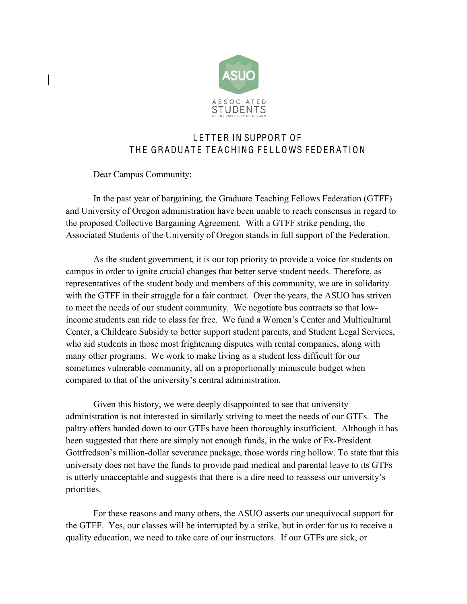

## LETTER IN SUPPORT OF THE GRADUATE TEACHING FELLOWS FEDERATION

Dear Campus Community:

In the past year of bargaining, the Graduate Teaching Fellows Federation (GTFF) and University of Oregon administration have been unable to reach consensus in regard to the proposed Collective Bargaining Agreement. With a GTFF strike pending, the Associated Students of the University of Oregon stands in full support of the Federation.

As the student government, it is our top priority to provide a voice for students on campus in order to ignite crucial changes that better serve student needs. Therefore, as representatives of the student body and members of this community, we are in solidarity with the GTFF in their struggle for a fair contract. Over the years, the ASUO has striven to meet the needs of our student community. We negotiate bus contracts so that lowincome students can ride to class for free. We fund a Women's Center and Multicultural Center, a Childcare Subsidy to better support student parents, and Student Legal Services, who aid students in those most frightening disputes with rental companies, along with many other programs. We work to make living as a student less difficult for our sometimes vulnerable community, all on a proportionally minuscule budget when compared to that of the university's central administration.

Given this history, we were deeply disappointed to see that university administration is not interested in similarly striving to meet the needs of our GTFs. The paltry offers handed down to our GTFs have been thoroughly insufficient. Although it has been suggested that there are simply not enough funds, in the wake of Ex-President Gottfredson's million-dollar severance package, those words ring hollow. To state that this university does not have the funds to provide paid medical and parental leave to its GTFs is utterly unacceptable and suggests that there is a dire need to reassess our university's priorities.

For these reasons and many others, the ASUO asserts our unequivocal support for the GTFF. Yes, our classes will be interrupted by a strike, but in order for us to receive a quality education, we need to take care of our instructors. If our GTFs are sick, or